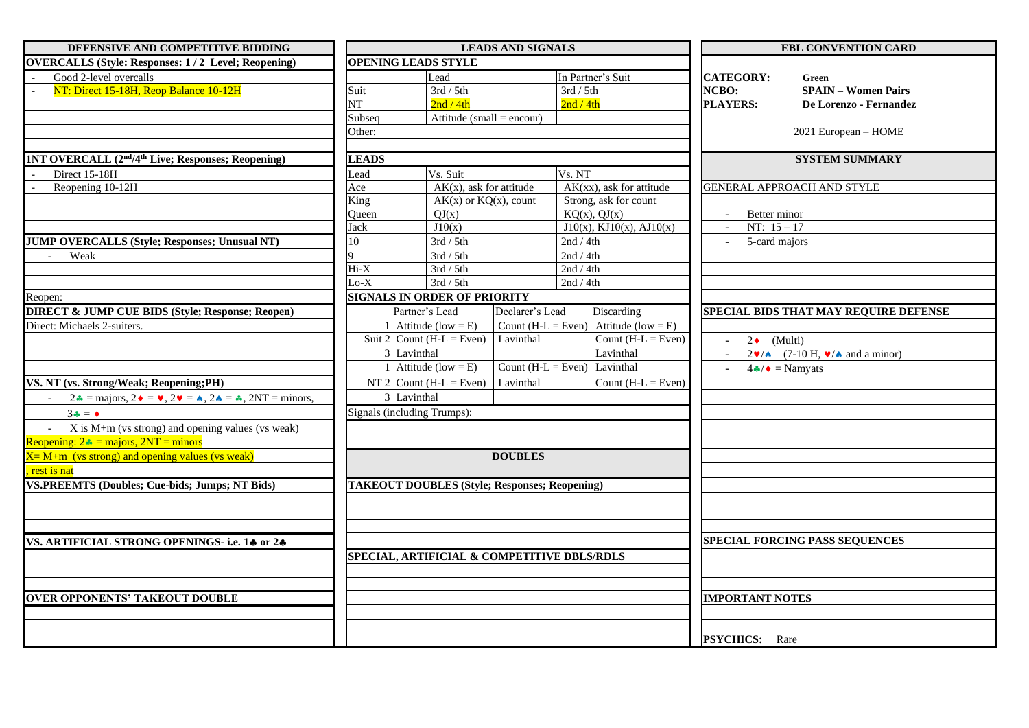| DEFENSIVE AND COMPETITIVE BIDDING                                                                                                        | <b>LEADS AND SIGNALS</b> |                                                      |                              | <b>EBL CONVENTION CARD</b> |                             |                        |                                                                                        |
|------------------------------------------------------------------------------------------------------------------------------------------|--------------------------|------------------------------------------------------|------------------------------|----------------------------|-----------------------------|------------------------|----------------------------------------------------------------------------------------|
| <b>OVERCALLS (Style: Responses: 1/2 Level; Reopening)</b>                                                                                |                          | <b>OPENING LEADS STYLE</b>                           |                              |                            |                             |                        |                                                                                        |
| Good 2-level overcalls                                                                                                                   | Lead                     |                                                      |                              | In Partner's Suit          |                             | <b>CATEGORY:</b>       | Green                                                                                  |
| NT: Direct 15-18H, Reop Balance 10-12H                                                                                                   | Suit                     | $\overline{3rd/5th}$                                 |                              | 3rd / 5th                  |                             | NCBO:                  | <b>SPAIN - Women Pairs</b>                                                             |
|                                                                                                                                          | <b>NT</b>                | 2nd / 4th                                            |                              | 2nd / 4th                  |                             | <b>PLAYERS:</b>        | De Lorenzo - Fernandez                                                                 |
|                                                                                                                                          | Subseq                   | Attitude (small = encour)                            |                              |                            |                             |                        |                                                                                        |
|                                                                                                                                          | Other:                   |                                                      |                              |                            |                             |                        | 2021 European - HOME                                                                   |
|                                                                                                                                          |                          |                                                      |                              |                            |                             |                        |                                                                                        |
| 1NT OVERCALL (2 <sup>nd</sup> /4 <sup>th</sup> Live; Responses; Reopening)                                                               | <b>LEADS</b>             |                                                      |                              |                            |                             |                        | <b>SYSTEM SUMMARY</b>                                                                  |
| Direct 15-18H                                                                                                                            | Lead                     | Vs. Suit                                             |                              | Vs. NT                     |                             |                        |                                                                                        |
| Reopening 10-12H                                                                                                                         | Ace                      | $AK(x)$ , ask for attitude                           |                              |                            | $AK(xx)$ , ask for attitude |                        | GENERAL APPROACH AND STYLE                                                             |
|                                                                                                                                          | King                     | $AK(x)$ or $KQ(x)$ , count                           |                              | Strong, ask for count      |                             |                        |                                                                                        |
|                                                                                                                                          | Queen                    | QJ(x)                                                |                              | KQ(x), QJ(x)               |                             | Better minor           |                                                                                        |
|                                                                                                                                          | Jack                     | J10(x)                                               |                              |                            | $J10(x)$ , KJ10(x), AJ10(x) | NT: $15 - 17$          |                                                                                        |
| <b>JUMP OVERCALLS (Style; Responses; Unusual NT)</b>                                                                                     | 10                       | $3rd/5th$                                            |                              | 2nd / 4th                  |                             | 5-card majors          |                                                                                        |
| Weak<br>$\sim$                                                                                                                           |                          | 3rd / 5th                                            |                              | 2nd / 4th                  |                             |                        |                                                                                        |
|                                                                                                                                          | $Hi-X$                   | $\overline{3rd/5th}$                                 |                              | 2nd / 4th                  |                             |                        |                                                                                        |
|                                                                                                                                          | $Lo-X$                   | 3rd / 5th                                            |                              | 2nd / 4th                  |                             |                        |                                                                                        |
| Reopen:                                                                                                                                  |                          | <b>SIGNALS IN ORDER OF PRIORITY</b>                  |                              |                            |                             |                        |                                                                                        |
| <b>DIRECT &amp; JUMP CUE BIDS (Style; Response; Reopen)</b>                                                                              |                          | Partner's Lead                                       | Declarer's Lead              |                            | Discarding                  |                        | SPECIAL BIDS THAT MAY REQUIRE DEFENSE                                                  |
| Direct: Michaels 2-suiters.                                                                                                              |                          | Attitude (low = $E$ )                                | Count (H-L = Even)           |                            | Attitude (low = $E$ )       |                        |                                                                                        |
|                                                                                                                                          |                          | Suit 2 Count (H-L = $\overline{\text{Even}}$ )       | Lavinthal                    |                            | Count $(H-L = Even)$        | $2 \bullet$ (Multi)    |                                                                                        |
|                                                                                                                                          |                          | 3 Lavinthal                                          |                              |                            | Lavinthal                   |                        | $2\blacktriangledown/\spadesuit$ (7-10 H, $\blacktriangledown/\spadesuit$ and a minor) |
|                                                                                                                                          |                          | Attitude (low = $E$ )                                | Count (H-L = Even) Lavinthal |                            |                             |                        | $4\clubsuit/\bullet =$ Namyats                                                         |
| VS. NT (vs. Strong/Weak; Reopening;PH)                                                                                                   |                          | NT 2 Count (H-L = Even)                              | Lavinthal                    |                            | Count $(H-L = Even)$        |                        |                                                                                        |
| $2\bullet$ = majors, $2\bullet$ = $\bullet$ , $2\bullet$ = $\bullet$ , $2\bullet$ = $\bullet$ , $2\bullet$ = $\bullet$ , $2NT$ = minors, |                          | 3 Lavinthal                                          |                              |                            |                             |                        |                                                                                        |
| $3\bullet = \bullet$                                                                                                                     |                          | Signals (including Trumps):                          |                              |                            |                             |                        |                                                                                        |
| $X$ is M+m (vs strong) and opening values (vs weak)                                                                                      |                          |                                                      |                              |                            |                             |                        |                                                                                        |
| Reopening: $2 \cdot \text{ s} = \text{majors}, 2NT = \text{minor}$                                                                       |                          |                                                      |                              |                            |                             |                        |                                                                                        |
| $X = M+m$ (vs strong) and opening values (vs weak)                                                                                       |                          |                                                      | <b>DOUBLES</b>               |                            |                             |                        |                                                                                        |
| rest is nat                                                                                                                              |                          |                                                      |                              |                            |                             |                        |                                                                                        |
| <b>VS.PREEMTS (Doubles; Cue-bids; Jumps; NT Bids)</b>                                                                                    |                          | <b>TAKEOUT DOUBLES (Style; Responses; Reopening)</b> |                              |                            |                             |                        |                                                                                        |
|                                                                                                                                          |                          |                                                      |                              |                            |                             |                        |                                                                                        |
|                                                                                                                                          |                          |                                                      |                              |                            |                             |                        |                                                                                        |
|                                                                                                                                          |                          |                                                      |                              |                            |                             |                        |                                                                                        |
| VS. ARTIFICIAL STRONG OPENINGS-i.e. 14 or 24                                                                                             |                          |                                                      |                              |                            |                             |                        | <b>SPECIAL FORCING PASS SEQUENCES</b>                                                  |
|                                                                                                                                          |                          | SPECIAL, ARTIFICIAL & COMPETITIVE DBLS/RDLS          |                              |                            |                             |                        |                                                                                        |
|                                                                                                                                          |                          |                                                      |                              |                            |                             |                        |                                                                                        |
|                                                                                                                                          |                          |                                                      |                              |                            |                             |                        |                                                                                        |
| <b>OVER OPPONENTS' TAKEOUT DOUBLE</b>                                                                                                    |                          |                                                      |                              |                            |                             | <b>IMPORTANT NOTES</b> |                                                                                        |
|                                                                                                                                          |                          |                                                      |                              |                            |                             |                        |                                                                                        |
|                                                                                                                                          |                          |                                                      |                              |                            |                             |                        |                                                                                        |
|                                                                                                                                          |                          |                                                      |                              |                            |                             | <b>PSYCHICS:</b> Rare  |                                                                                        |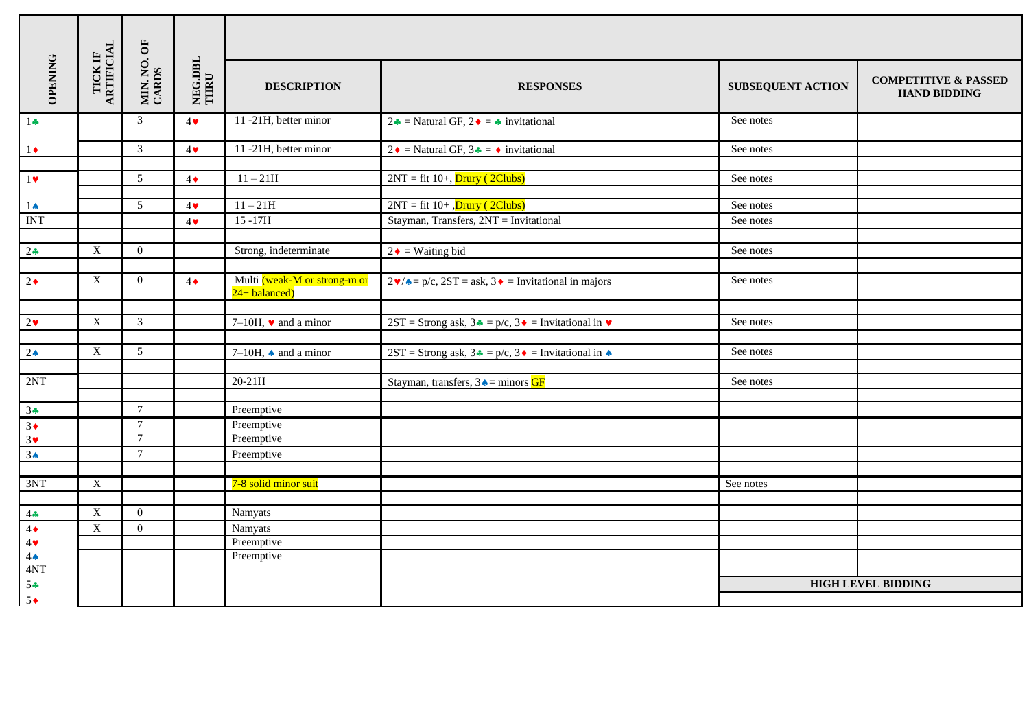| <b>OPENING</b>                | $\begin{array}{ll} \mathrm{TCK}\ \mathrm{F}\\ \mathrm{ARTFICIAL} \end{array}$ | MIN. NO. OF<br>CARDS             | NEG.DBL<br>THRU       | <b>DESCRIPTION</b>                                     | <b>RESPONSES</b>                                                                          | <b>SUBSEQUENT ACTION</b> | <b>COMPETITIVE &amp; PASSED</b><br><b>HAND BIDDING</b> |
|-------------------------------|-------------------------------------------------------------------------------|----------------------------------|-----------------------|--------------------------------------------------------|-------------------------------------------------------------------------------------------|--------------------------|--------------------------------------------------------|
| $1 -$                         |                                                                               | 3                                | $4\bullet$            | 11-21H, better minor                                   | 2↓ = Natural GF, 2♦ = ↑ invitational                                                      | See notes                |                                                        |
| $1\bullet$                    |                                                                               | $\mathfrak{Z}$                   | $4\bullet$            | 11-21H, better minor                                   | 2 ◆ = Natural GF, $3 \div = \rightarrow$ invitational                                     | See notes                |                                                        |
|                               |                                                                               |                                  |                       |                                                        |                                                                                           |                          |                                                        |
| $1$ v                         |                                                                               | 5                                | $4\bullet$            | $11 - 21H$                                             | $2NT = fit 10+,$ Drury (2Clubs)                                                           | See notes                |                                                        |
| $1\spadesuit$                 |                                                                               | 5                                | $4\blacktriangledown$ | $11 - 21H$                                             | $2NT = fit 10 + ,Drury (2Clubs)$                                                          | See notes                |                                                        |
| <b>INT</b>                    |                                                                               |                                  | $4\bullet$            | $15 - 17H$                                             | Stayman, Transfers, 2NT = Invitational                                                    | See notes                |                                                        |
|                               |                                                                               |                                  |                       |                                                        |                                                                                           |                          |                                                        |
| $2\bullet$                    | $\boldsymbol{\mathrm{X}}$                                                     | $\overline{0}$                   |                       | Strong, indeterminate                                  | $2 \cdot =$ Waiting bid                                                                   | See notes                |                                                        |
|                               |                                                                               |                                  |                       |                                                        |                                                                                           |                          |                                                        |
| $2\bullet$                    | $\mathbf X$                                                                   | $\overline{0}$                   | $4\bullet$            | Multi (weak-M or strong-m or<br>$24 + \text{balanced}$ | $2\mathbf{v}/\mathbf{v} = p/c$ , $2ST = ask$ , $3\mathbf{v} = Invitational$ in majors     | See notes                |                                                        |
|                               |                                                                               |                                  |                       |                                                        |                                                                                           |                          |                                                        |
| $2\bullet$                    | $\mathbf X$                                                                   | $\mathfrak{Z}$                   |                       | 7–10H, $\bullet$ and a minor                           | 2ST = Strong ask, $3 \cdot \bullet = p/c$ , $3 \cdot \bullet =$ Invitational in $\bullet$ | See notes                |                                                        |
|                               | $\mathbf X$                                                                   | 5                                |                       |                                                        |                                                                                           | See notes                |                                                        |
| 2 <sub>•</sub>                |                                                                               |                                  |                       | 7–10H, $\bullet$ and a minor                           | 2ST = Strong ask, $3 \cdot \bullet = p/c$ , $3 \cdot \bullet =$ Invitational in $\bullet$ |                          |                                                        |
| 2NT                           |                                                                               |                                  |                       | $20-21H$                                               | Stayman, transfers, $3 \triangle =$ minors GF                                             | See notes                |                                                        |
|                               |                                                                               |                                  |                       |                                                        |                                                                                           |                          |                                                        |
| $3 -$                         |                                                                               | $\overline{7}$<br>$\overline{7}$ |                       | Preemptive                                             |                                                                                           |                          |                                                        |
| $3+$<br>$3\blacktriangledown$ |                                                                               | $\overline{7}$                   |                       | Preemptive<br>Preemptive                               |                                                                                           |                          |                                                        |
| 3 <sub>A</sub>                |                                                                               | $7\phantom{.0}$                  |                       | Preemptive                                             |                                                                                           |                          |                                                        |
|                               |                                                                               |                                  |                       |                                                        |                                                                                           |                          |                                                        |
| 3NT                           | $\boldsymbol{\mathrm{X}}$                                                     |                                  |                       | 7-8 solid minor suit                                   |                                                                                           | See notes                |                                                        |
|                               |                                                                               |                                  |                       |                                                        |                                                                                           |                          |                                                        |
| 4.4                           | $\mathbf X$                                                                   | $\overline{0}$                   |                       | Namyats                                                |                                                                                           |                          |                                                        |
| $4\bullet$                    | $\mathbf X$                                                                   | $\overline{0}$                   |                       | Namyats                                                |                                                                                           |                          |                                                        |
| 4                             |                                                                               |                                  |                       | Preemptive                                             |                                                                                           |                          |                                                        |
| $4^$                          |                                                                               |                                  |                       | Preemptive                                             |                                                                                           |                          |                                                        |
| 4NT                           |                                                                               |                                  |                       |                                                        |                                                                                           |                          | <b>HIGH LEVEL BIDDING</b>                              |
| 54<br>$5^{\bullet}$           |                                                                               |                                  |                       |                                                        |                                                                                           |                          |                                                        |
|                               |                                                                               |                                  |                       |                                                        |                                                                                           |                          |                                                        |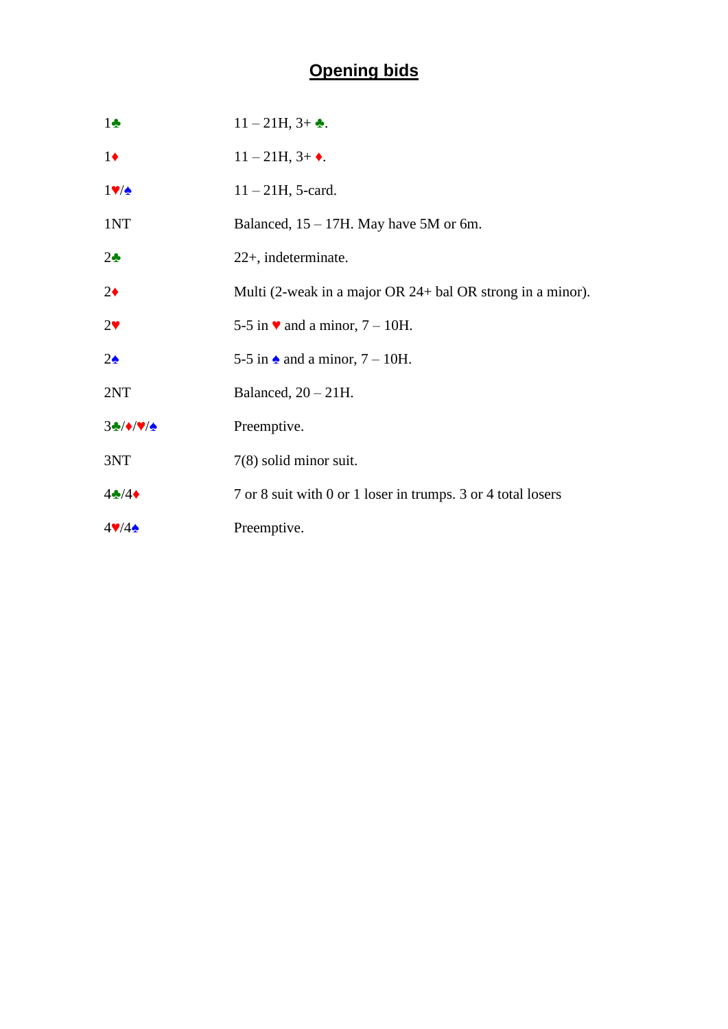# **Opening bids**

| $1\bullet$                 | $11 - 21H$ , $3 + \bullet$ .                                 |
|----------------------------|--------------------------------------------------------------|
| $1\bullet$                 | $11 - 21H$ , $3 + \bullet$ .                                 |
| $1$ $\sqrt{2}$             | $11 - 21H$ , 5-card.                                         |
| 1NT                        | Balanced, $15 - 17H$ . May have 5M or 6m.                    |
| $2\bullet$                 | 22+, indeterminate.                                          |
| $2\bullet$                 | Multi (2-weak in a major OR 24+ bal OR strong in a minor).   |
| $2\blacktriangledown$      | 5-5 in $\blacktriangledown$ and a minor, 7 – 10H.            |
| $2\spadesuit$              | 5-5 in $\triangle$ and a minor, 7 – 10H.                     |
| 2NT                        | Balanced, $20 - 21H$ .                                       |
| $3\cdot\sqrt{\frac{4}{2}}$ | Preemptive.                                                  |
| 3NT                        | $7(8)$ solid minor suit.                                     |
| $4\clubsuit/4\spadesuit$   | 7 or 8 suit with 0 or 1 loser in trumps. 3 or 4 total losers |
| $4\sqrt{44}$               | Preemptive.                                                  |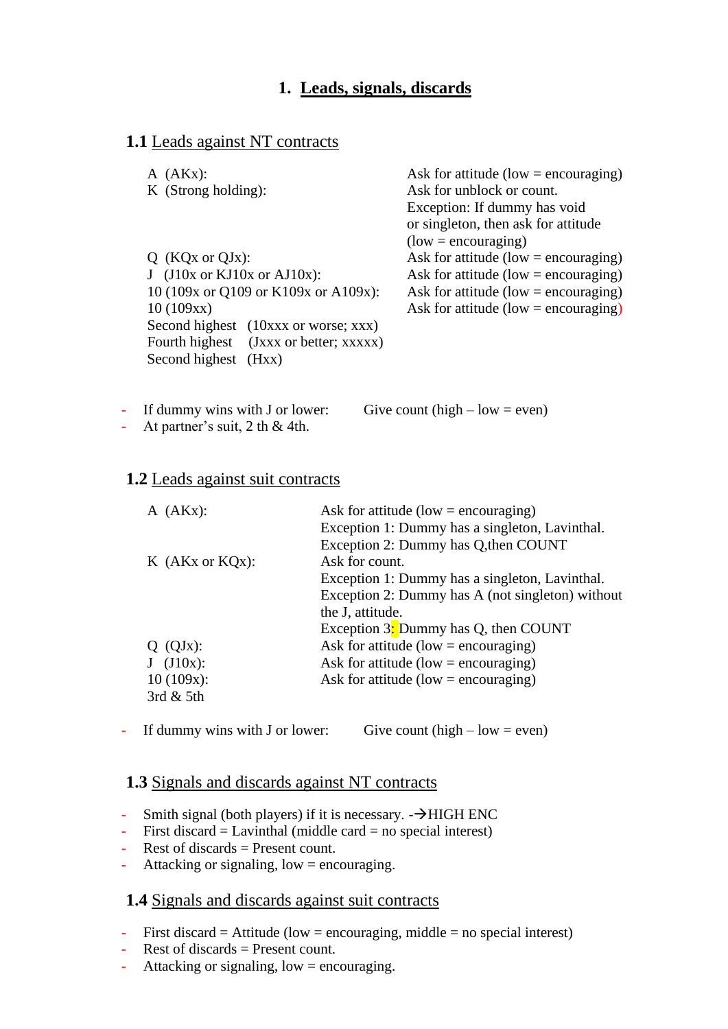## **1. Leads, signals, discards**

### **1.1** Leads against NT contracts

| $A$ (AKx):                             | Ask for attitude (low = encouraging)   |
|----------------------------------------|----------------------------------------|
| K (Strong holding):                    | Ask for unblock or count.              |
|                                        | Exception: If dummy has void           |
|                                        | or singleton, then ask for attitude    |
|                                        | $(low = \text{encouraging})$           |
| $Q$ (KQx or QJx):                      | Ask for attitude (low $=$ encouraging) |
| $J$ (J10x or KJ10x or AJ10x):          | Ask for attitude (low = encouraging)   |
| 10 (109x or Q109 or K109x or A109x):   | Ask for attitude (low $=$ encouraging) |
| 10(109xx)                              | Ask for attitude (low = encouraging)   |
| Second highest (10xxx or worse; xxx)   |                                        |
| Fourth highest (Jxxx or better; xxxxx) |                                        |
| Second highest (Hxx)                   |                                        |

- If dummy wins with J or lower: Give count (high – low = even)

- At partner's suit,  $2$  th  $\&$  4th.

### **1.2** Leads against suit contracts

| $A$ (AKx):                                                            | Ask for attitude (low = encouraging)<br>Exception 1: Dummy has a singleton, Lavinthal.<br>Exception 2: Dummy has Q, then COUNT                                                   |
|-----------------------------------------------------------------------|----------------------------------------------------------------------------------------------------------------------------------------------------------------------------------|
| $K$ (AKx or KQx):                                                     | Ask for count.<br>Exception 1: Dummy has a singleton, Lavinthal.<br>Exception 2: Dummy has A (not singleton) without<br>the J, attitude.<br>Exception 3: Dummy has Q, then COUNT |
| $Q$ (QJ <sub>x</sub> ):<br>$J$ (J10x):<br>$10(109x)$ :<br>3rd $&$ 5th | Ask for attitude (low = encouraging)<br>Ask for attitude (low = encouraging)<br>Ask for attitude (low = encouraging)                                                             |

- If dummy wins with J or lower: Give count  $(high - low = even)$ 

### **1.3** Signals and discards against NT contracts

- Smith signal (both players) if it is necessary.  $-\rightarrow$ HIGH ENC
- $\text{-}$  First discard = Lavinthal (middle card = no special interest)
- Rest of discards = Present count.
- Attacking or signaling,  $low = \text{encouraging}$ .

### **1.4** Signals and discards against suit contracts

- First discard = Attitude (low = encouraging, middle = no special interest)
- Rest of discards = Present count.
- Attacking or signaling,  $low = \text{encouraging}$ .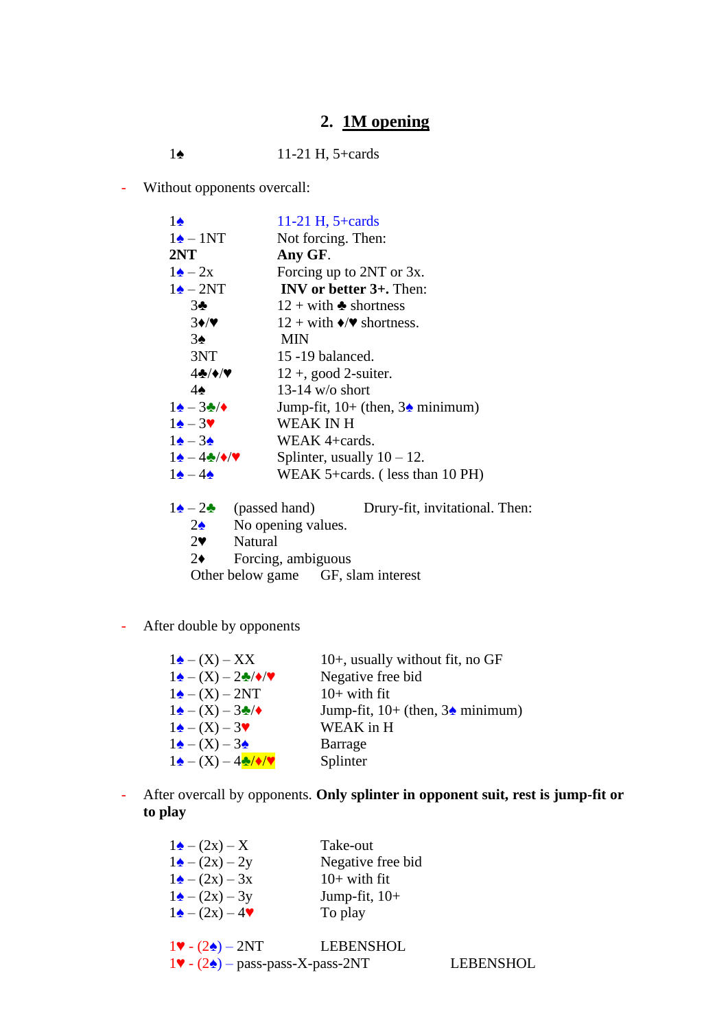# **2. 1M opening**

- Without opponents overcall:

| $1\spadesuit$                                    | 11-21 H, $5 + cards$                                                                |
|--------------------------------------------------|-------------------------------------------------------------------------------------|
| $1\spadesuit - 1NT$                              | Not forcing. Then:                                                                  |
| 2NT                                              | Any GF.                                                                             |
| $1\triangle - 2x$                                | Forcing up to 2NT or 3x.                                                            |
| $1\triangle - 2NT$                               | INV or better $3+$ . Then:                                                          |
| $3\bullet$                                       | $12 + \text{with}$ • shortness                                                      |
| $3 \cdot / \cdot$                                | $12 + with \rightarrow \rightarrow$ shortness.                                      |
| $3\spadesuit$                                    | <b>MIN</b>                                                                          |
| 3NT                                              | 15 -19 balanced.                                                                    |
| $4-1$                                            | $12 +$ , good 2-suiter.                                                             |
| $4\spadesuit$                                    | 13-14 w/o short                                                                     |
| $1\spadesuit - 3\clubsuit/\spadesuit$            | Jump-fit, $10+$ (then, $3\spadesuit$ minimum)                                       |
| $1\spadesuit - 3\spadesuit$                      | <b>WEAK IN H</b>                                                                    |
| $1\triangle - 3\triangle$                        | WEAK $4 + \text{cards}$ .                                                           |
| $1\spadesuit - 4\clubsuit/\spadesuit/\spadesuit$ | Splinter, usually $10 - 12$ .                                                       |
| $1\triangle - 4\triangle$                        | WEAK 5+cards. (less than 10 PH)                                                     |
|                                                  |                                                                                     |
|                                                  | $1\blacktriangle - 2\blacktriangle$ (passed hand)<br>Drury-fit, invitational. Then: |
| $2\Delta$                                        | No opening values.                                                                  |
| $2^{\bullet}$                                    | Natural                                                                             |
| $2\bullet$                                       | Forcing, ambiguous                                                                  |
|                                                  | Other below game GF, slam interest                                                  |

- After double by opponents

| $1\triangle - (X) - XX$                                   | $10+$ , usually without fit, no GF           |
|-----------------------------------------------------------|----------------------------------------------|
| $1\spadesuit - (X) - 2\clubsuit/\spadesuit/\spadesuit$    | Negative free bid                            |
| $1\triangle - (X) - 2NT$                                  | $10+$ with fit                               |
| $1\blacktriangle - (X) - 3\blacktriangle / \blacklozenge$ | Jump-fit, $10+$ (then, $3\triangle$ minimum) |
| $1\triangle - (X) - 3\blacktriangledown$                  | WEAK in H                                    |
| $1\blacktriangle - (X) - 3\blacktriangle$                 | Barrage                                      |
| $1\spadesuit - (X) - 4\clubsuit/\spadesuit/\spadesuit$    | Splinter                                     |
|                                                           |                                              |

- After overcall by opponents. **Only splinter in opponent suit, rest is jump-fit or to play**

| Take-out          |
|-------------------|
| Negative free bid |
| $10+$ with fit    |
| Jump-fit, $10+$   |
| To play           |
|                   |
|                   |

| $1\blacktriangledown$ - $(2\blacktriangle)$ - $2NT$                  | LEBENSHOL |                  |
|----------------------------------------------------------------------|-----------|------------------|
| $1\blacktriangledown$ - (2 $\blacktriangle$ ) – pass-pass-X-pass-2NT |           | <b>LEBENSHOL</b> |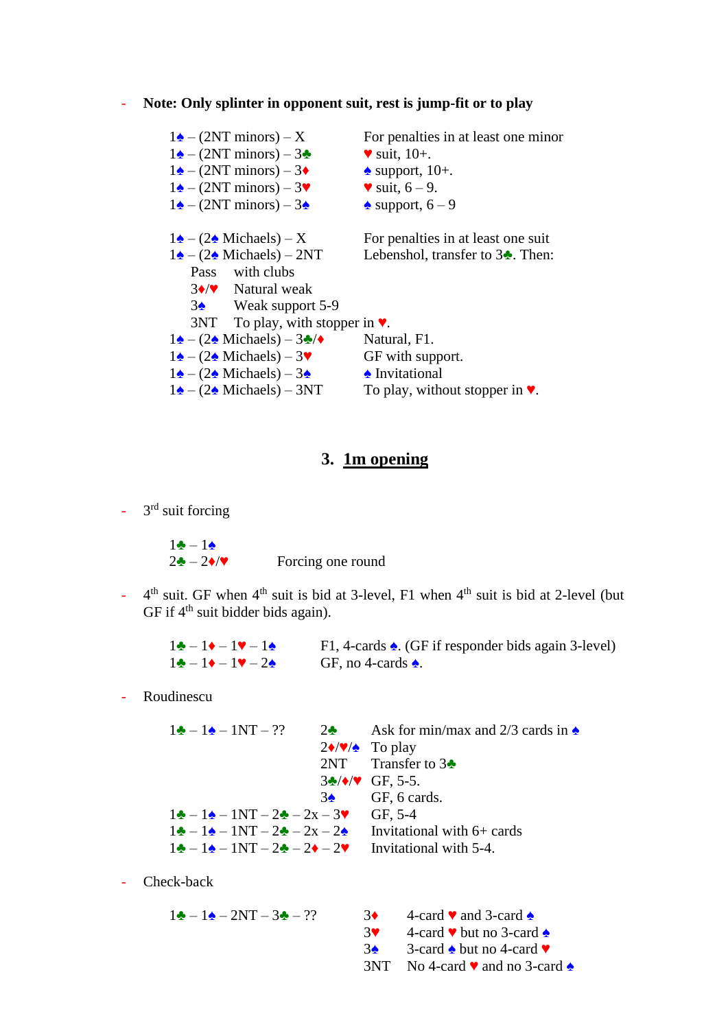### - **Note: Only splinter in opponent suit, rest is jump-fit or to play**

| $1\triangle - (2NT$ minors) – X                                                     | For penalties in at least one minor                |
|-------------------------------------------------------------------------------------|----------------------------------------------------|
| $1\blacktriangle - (2NT \text{ minors}) - 3\blacktriangle$                          | $\bullet$ suit, 10+.                               |
| $1\blacktriangle - (2NT \text{ minors}) - 3\blacklozenge$                           | $\triangle$ support, 10+.                          |
| $1\blacktriangle - (2NT \text{ minors}) - 3\blacktriangledown$                      | $\bullet$ suit, 6 – 9.                             |
| $1\blacktriangle - (2NT \text{ minors}) - 3\blacktriangle$                          | $\triangle$ support, $6-9$                         |
| $1\blacktriangle - (2\blacktriangle$ Michaels) – X                                  | For penalties in at least one suit                 |
| $1\triangle - (2\triangle$ Michaels) – 2NT                                          | Lebenshol, transfer to $3\clubsuit$ . Then:        |
| Pass with clubs                                                                     |                                                    |
| $3\rightarrow\prime\prime$ Natural weak                                             |                                                    |
| $3\spadesuit$ Weak support 5-9                                                      |                                                    |
| $3NT$ To play, with stopper in $\blacktriangledown$ .                               |                                                    |
| $1\blacktriangle - (2\blacktriangle$ Michaels) – $3\blacktriangle / \blacktriangle$ | Natural, F1.                                       |
| $1\spadesuit - (2\spadesuit$ Michaels) – 3                                          | GF with support.                                   |
| $1\blacktriangle - (2\blacktriangle$ Michaels) – 3 $\blacktriangle$                 | • Invitational                                     |
| $1\triangle - (2\triangle$ Michaels) – 3NT                                          | To play, without stopper in $\blacktriangledown$ . |
|                                                                                     |                                                    |

## **3. 1m opening**

 $-3<sup>rd</sup>$  suit forcing

 $1$  →  $-1$   $\triangle$  $2\cdot\mathbf{I} - 2\cdot\mathbf{V}$  Forcing one round

 $\omega_{\rm eff}$ th suit. GF when  $4<sup>th</sup>$  suit is bid at 3-level, F1 when  $4<sup>th</sup>$  suit is bid at 2-level (but GF if  $4<sup>th</sup>$  suit bidder bids again).

| $1\clubsuit - 1\blacklozenge - 1\blacklozenge - 1\spadesuit$      | F1, 4-cards $\triangle$ . (GF if responder bids again 3-level) |
|-------------------------------------------------------------------|----------------------------------------------------------------|
| $1\clubsuit - 1\blacklozenge - 1\blacktriangledown - 2\spadesuit$ | GF, no 4-cards $\triangle$ .                                   |

- Roudinescu

| $1\bigarrow -1\bigarrow -1NT-$ ??                                                                | 2. Ask for min/max and 2/3 cards in $\triangle$            |
|--------------------------------------------------------------------------------------------------|------------------------------------------------------------|
|                                                                                                  | $2\blacklozenge/\blacktriangledown/\blacktriangle$ To play |
|                                                                                                  | 2NT Transfer to $3\blacktriangleright$                     |
|                                                                                                  | $3\cdot\sqrt{\bullet/\bullet}$ GF, 5-5.                    |
|                                                                                                  | $3\spadesuit$ GF, 6 cards.                                 |
| $1\clubsuit - 1\spadesuit - 1NT - 2\spadesuit - 2x - 3V$ GF, 5-4                                 |                                                            |
| $1\clubsuit - 1\spadesuit - 1NT - 2\clubsuit - 2x - 2\spadesuit$                                 | Invitational with $6+$ cards                               |
| $1\clubsuit - 1\spadesuit - 1NT - 2\clubsuit - 2\spadesuit - 2\spadesuit$ Invitational with 5-4. |                                                            |

- Check-back

 $1\clubsuit - 1\spadesuit - 2NT - 3\spadesuit - ?$  3 $\spadesuit$  4-card  $\spadesuit$  and 3-card  $\spadesuit$  $3\bullet$  4-card  $\bullet$  but no 3-card  $\bullet$  $3\cdot$  3-card  $\cdot$  but no 4-card  $\cdot$ 3NT No 4-card ♥ and no 3-card ♠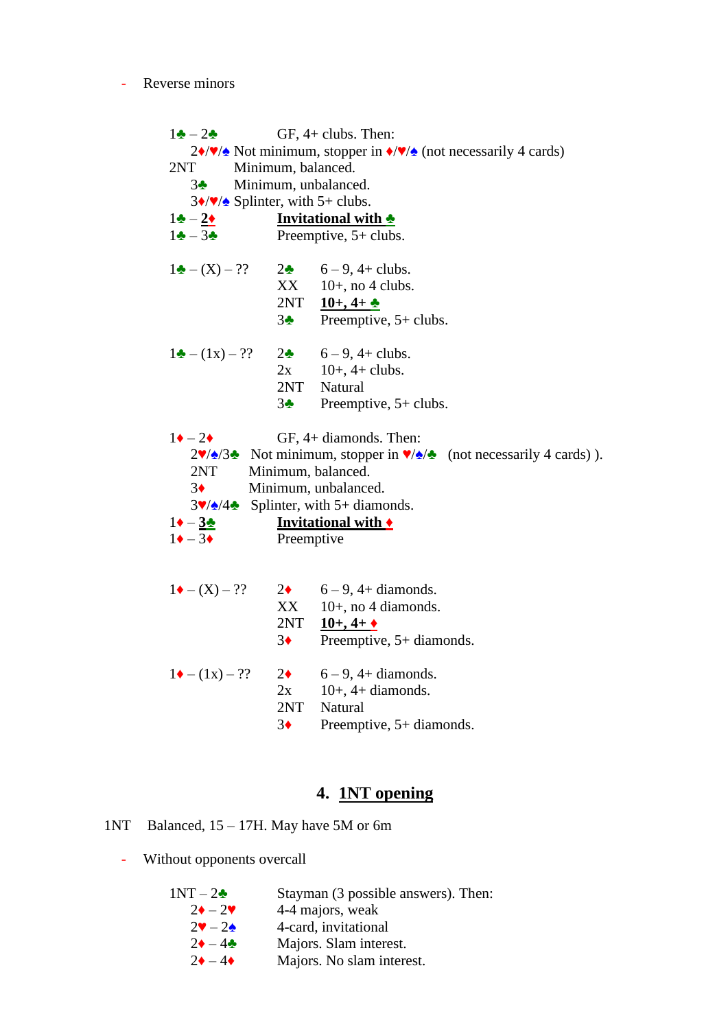#### - Reverse minors

 $1\clubsuit - 2\clubsuit$  GF, 4+ clubs. Then: 2♦/♥/♠ Not minimum, stopper in ♦/♥/♠ (not necessarily 4 cards) 2NT Minimum, balanced. 3♣ Minimum, unbalanced.  $3\sqrt{\frac{9}{2}}$  Splinter, with 5+ clubs.  $1\div -2\div$  **Invitational with**  $\div$ <br>1 $\div -3\div$  **Preemptive,** 5+ clubs Preemptive,  $5+$  clubs.  $1\clubsuit - (X) - ?$  2 $\spadesuit$  6 – 9, 4+ clubs.  $XX = 10+$ , no 4 clubs. 2NT **10+, 4+ ♣** 3♣ Preemptive, 5+ clubs.  $1\bullet - (1x) - ?$  2 $\bullet$  6 – 9, 4+ clubs.  $2x \t10+$ , 4+ clubs. 2NT Natural 3♣ Preemptive, 5+ clubs.  $1\blacklozenge - 2\blacklozenge$  GF, 4+ diamonds. Then: 2♥/♠/3♣ Not minimum, stopper in ♥/♠/♣ (not necessarily 4 cards)). 2NT Minimum, balanced. 3♦ Minimum, unbalanced.  $3\sqrt{2}/4\cdot 5$  Splinter, with 5+ diamonds.  $1\rightarrow -3\rightarrow$  **Invitational with**  $\rightarrow$ <br>1 $\rightarrow -3\rightarrow$  **Preemptive** Preemptive  $1 \cdot (-X) - ?$  2 6 – 9, 4+ diamonds.  $XX = 10+$ , no 4 diamonds. 2NT **10+, 4+ ♦** 3♦ Preemptive, 5+ diamonds.

 $1 \cdot (-1 x) - ?$  2 6 – 9, 4+ diamonds.  $2x \t 10+, 4+$  diamonds. 2NT Natural 3♦ Preemptive, 5+ diamonds.

### **4. 1NT opening**

1NT Balanced, 15 – 17H. May have 5M or 6m

- Without opponents overcall

| $1NT-2\bullet$                          | Stayman (3 possible answers). Then: |
|-----------------------------------------|-------------------------------------|
| $2\bullet - 2\blacktriangledown$        | 4-4 majors, weak                    |
| $2\blacktriangledown - 2\blacktriangle$ | 4-card, invitational                |
| $2\bullet - 4\bullet$                   | Majors. Slam interest.              |
| $2\bullet - 4\bullet$                   | Majors. No slam interest.           |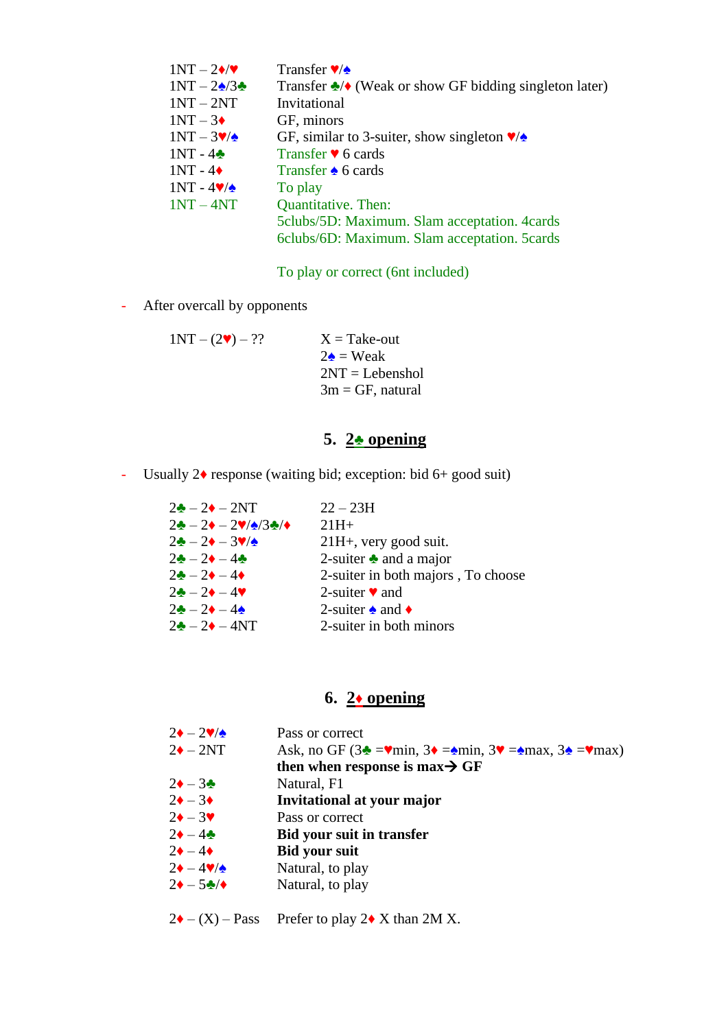| $1NT - 2\cdot$     | Transfer $\sqrt{\diamond}$                                                   |
|--------------------|------------------------------------------------------------------------------|
| $1NT - 2\sqrt{3}$  | Transfer $\triangle$ / $\triangle$ (Weak or show GF bidding singleton later) |
| $1NT - 2NT$        | Invitational                                                                 |
| $1NT - 3\bullet$   | GF, minors                                                                   |
| $1NT - 3V/\sim$    | GF, similar to 3-suiter, show singleton $\sqrt{\triangle}$                   |
| $1NT - 4$          | Transfer $\blacktriangledown$ 6 cards                                        |
| $1NT - 4\bullet$   | Transfer $\triangle$ 6 cards                                                 |
| $1NT - 4V/\lambda$ | To play                                                                      |
| $1NT - 4NT$        | <b>Quantitative.</b> Then:                                                   |
|                    | 5 clubs/5D: Maximum. Slam acceptation. 4 cards                               |
|                    | 6clubs/6D: Maximum. Slam acceptation. 5cards                                 |
|                    |                                                                              |

To play or correct (6nt included)

- After overcall by opponents

 $1NT - (2**v**) - ??$   $X = Take-out$  $2\triangle$  = Weak 2NT = Lebenshol  $3m = GF$ , natural

# **5. 2**♣ **opening**

- Usually 2♦ response (waiting bid; exception: bid 6+ good suit)

| $2\bullet - 2\bullet - 2NT$                                                                 | $22 - 23H$                           |
|---------------------------------------------------------------------------------------------|--------------------------------------|
| $2\clubsuit - 2\blacklozenge - 2\blacktriangledown/\blacktriangle/3\clubsuit/\blacklozenge$ | $21H+$                               |
| $2\clubsuit-2\bullet-3\blacktriangledown/\spadesuit$                                        | $21H+$ , very good suit.             |
| $2 - 2 - 4$                                                                                 | 2-suiter $\triangle$ and a major     |
| $2\clubsuit - 2\spadesuit - 4\spadesuit$                                                    | 2-suiter in both majors, To choose   |
| $2\clubsuit - 2\spadesuit - 4\blacktriangledown$                                            | 2-suiter $\bullet$ and               |
| $2\clubsuit - 2\spadesuit - 4\spadesuit$                                                    | 2-suiter $\triangle$ and $\triangle$ |
| $2\bullet - 2\bullet - 4NT$                                                                 | 2-suiter in both minors              |

## **6. 2**♦ **opening**

| $2\bullet - 2\blacktriangledown/\blacktriangle$       | Pass or correct                                                                                                                |
|-------------------------------------------------------|--------------------------------------------------------------------------------------------------------------------------------|
| $2\blacklozenge - 2NT$                                | Ask, no GF $(3\triangleq -\mathbf{vmin}, 3\triangleq -\mathbf{vmin}, 3\mathbf{v}) = \mathbf{vmax}, 3\triangleq -\mathbf{vmax}$ |
|                                                       | then when response is max $\rightarrow$ GF                                                                                     |
| $2\bullet - 3\clubsuit$                               | Natural, F1                                                                                                                    |
| $2\bullet - 3\bullet$                                 | Invitational at your major                                                                                                     |
| $2\bullet - 3\blacktriangledown$                      | Pass or correct                                                                                                                |
| $2\bullet - 4\clubsuit$                               | <b>Bid your suit in transfer</b>                                                                                               |
| $2\bullet - 4\bullet$                                 | <b>Bid your suit</b>                                                                                                           |
| $2\blacklozenge - 4\blacktriangledown/\blacktriangle$ | Natural, to play                                                                                                               |
| $2\bullet - 5\clubsuit/$                              | Natural, to play                                                                                                               |
|                                                       |                                                                                                                                |

 $2\blacklozenge - (X) - Pass$  Prefer to play  $2\blacklozenge X$  than  $2M X$ .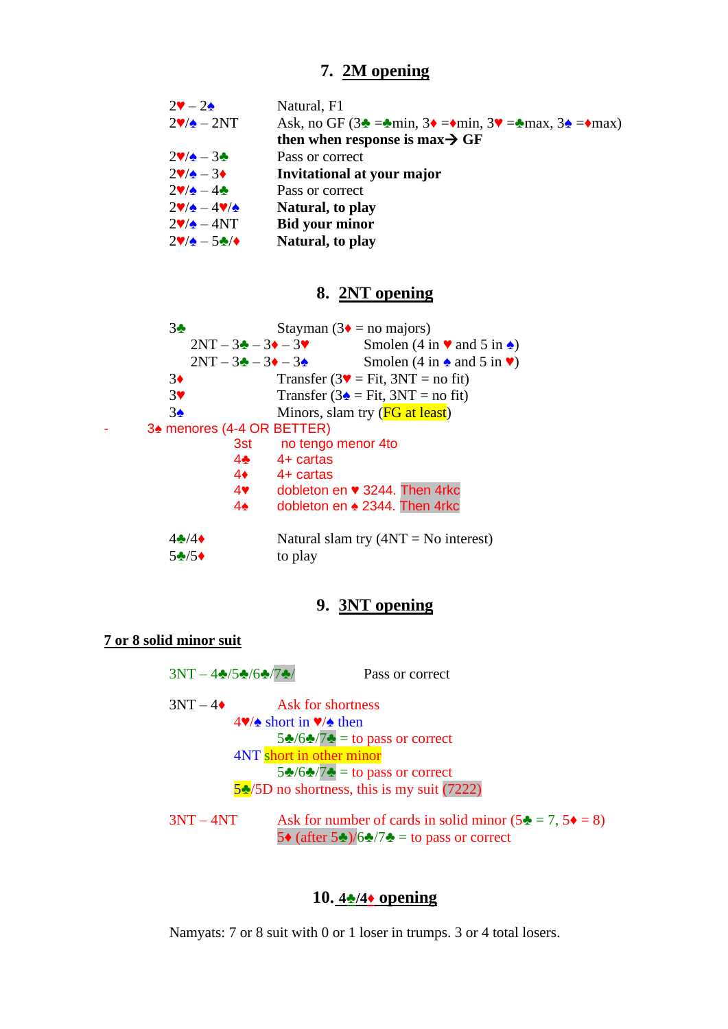# **7. 2M opening**

| Natural, F1                                                                                                                         |
|-------------------------------------------------------------------------------------------------------------------------------------|
| Ask, no GF $(3\triangleq -\triangleq \min, 3\triangleq -\diamondq \min, 3\triangleq -\triangleq \max, 3\triangleq -\diamondq \max)$ |
| then when response is max $\rightarrow$ GF                                                                                          |
| Pass or correct                                                                                                                     |
| Invitational at your major                                                                                                          |
| Pass or correct                                                                                                                     |
| Natural, to play                                                                                                                    |
| <b>Bid your minor</b>                                                                                                               |
| Natural, to play                                                                                                                    |
|                                                                                                                                     |

# **8. 2NT opening**

| 3 <sub>2</sub>             |                                                | Stayman ( $3\bullet$ = no majors)                        |
|----------------------------|------------------------------------------------|----------------------------------------------------------|
|                            | $2NT - 3\clubsuit - 3\spadesuit - 3\spadesuit$ | Smolen $(4 \text{ in } \bullet \bullet \bullet)$         |
|                            |                                                | Smolen (4 in $\triangle$ and 5 in $\blacktriangledown$ ) |
| $3\bullet$                 |                                                | Transfer ( $3\blacktriangledown$ = Fit, $3NT$ = no fit)  |
| 3 <sup>4</sup>             |                                                | Transfer ( $3\triangle$ = Fit, $3NT$ = no fit)           |
| $3\spadesuit$              |                                                | Minors, slam try ( <b>FG</b> at least)                   |
| 34 menores (4-4 OR BETTER) |                                                |                                                          |
|                            | 3st l                                          | no tengo menor 4to                                       |
|                            | $4\clubsuit$                                   | $4+$ cartas                                              |
|                            | $4\bullet$                                     | 4+ cartas                                                |
|                            | $4$ $\bullet$                                  | dobleton en ♥ 3244. Then 4rkc                            |
|                            | $4\spadesuit$                                  | dobleton en ▲ 2344. Then 4rkc                            |
|                            |                                                |                                                          |
| $4\cdot 4$                 |                                                | Natural slam try $(4NT = No$ interest)                   |
| $5\cdot 5$                 |                                                | to play                                                  |

# **9. 3NT opening**

### **7 or 8 solid minor suit**

| $3NT - 4/5/6/7/7$ | Pass or correct                                                                                                                                              |
|-------------------|--------------------------------------------------------------------------------------------------------------------------------------------------------------|
| $3NT-4\bullet$    | Ask for shortness                                                                                                                                            |
|                   | $4\blacktriangledown/\blacktriangle$ short in $\blacktriangledown/\blacktriangle$ then<br>$5\clubsuit/6\spadesuit/7\clubsuit =$ to pass or correct           |
|                   | 4NT short in other minor                                                                                                                                     |
|                   | $5\frac{1}{2}\sqrt{6\frac{1}{2}}$ = to pass or correct                                                                                                       |
|                   | $5\frac{1}{2}$ /5D no shortness, this is my suit (7222)                                                                                                      |
| $3NT - 4NT$       | Ask for number of cards in solid minor $(5\clubsuit = 7, 5\spadesuit = 8)$<br>5 $\bullet$ (after 5 $\bullet$ )/6 $\bullet$ /7 $\bullet$ = to pass or correct |

## **10. 4♣/4♦ opening**

Namyats: 7 or 8 suit with 0 or 1 loser in trumps. 3 or 4 total losers.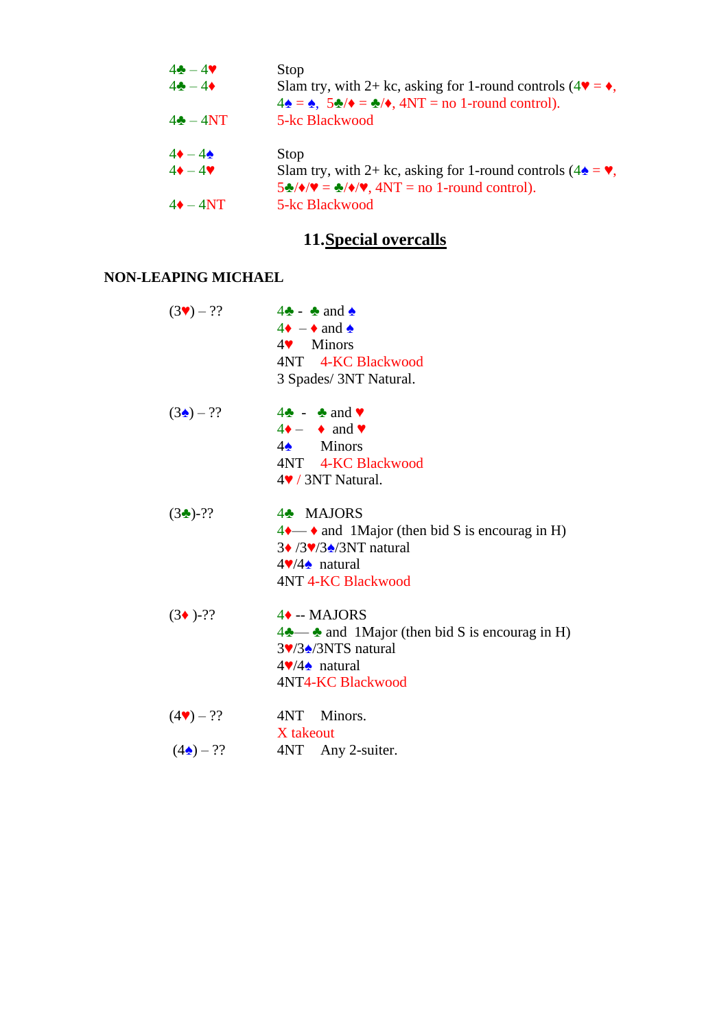| $4 - 49$              | Stop                                                                                                                                                                                                       |
|-----------------------|------------------------------------------------------------------------------------------------------------------------------------------------------------------------------------------------------------|
| $4\bullet - 4\bullet$ | Slam try, with 2+ kc, asking for 1-round controls ( $4\blacktriangledown = \blacklozenge$ ,<br>$4\spadesuit = \spadesuit$ , $5\spadesuit/\spadesuit = \clubsuit/\spadesuit$ , $4NT =$ no 1-round control). |
| $4\clubsuit - 4NT$    | 5-kc Blackwood                                                                                                                                                                                             |
| $4\bullet - 4\bullet$ | Stop                                                                                                                                                                                                       |
| $4\bullet - 4\bullet$ | Slam try, with 2+ kc, asking for 1-round controls ( $4\triangle = \blacktriangleright$ ,<br>$5\frac{1}{2}$ $\sqrt{\sqrt{2}} = \frac{1}{2} \sqrt{\sqrt{2}}$ , $4NT = no 1$ -round control).                 |
| $4\bullet - 4NT$      | 5-kc Blackwood                                                                                                                                                                                             |

# **11.Special overcalls**

## **NON-LEAPING MICHAEL**

| $(3\blacktriangledown)$ – ?? | $4\clubsuit$ - $\clubsuit$ and $\spadesuit$<br>$4\bullet - \bullet$ and $\bullet$<br>$4$ Minors<br>4NT 4-KC Blackwood<br>3 Spades/ 3NT Natural.                                                                                                      |
|------------------------------|------------------------------------------------------------------------------------------------------------------------------------------------------------------------------------------------------------------------------------------------------|
| $(3\Delta)$ – ??             | $4\clubsuit - \clubsuit$ and $\blacktriangledown$<br>$4 \bullet - \bullet$ and $\bullet$<br>$4\triangle$ Minors<br>4NT 4-KC Blackwood<br>$4$ / 3NT Natural.                                                                                          |
| $(3 - )$ -??                 | 4 <sup>*</sup> MAJORS<br>$4 \rightarrow \bullet$ and 1Major (then bid S is encourag in H)<br>$3\blacklozenge$ /3 $\blacktriangledown$ /3 $\blacktriangle$ /3NT natural<br>$4\blacktriangledown/4\blacktriangle$ natural<br><b>4NT 4-KC Blackwood</b> |
| $(3 \cdot )$ -??             | 4◆ -- MAJORS<br>$4\clubsuit$ and 1Major (then bid S is encourag in H)<br>3♥/3♠/3NTS natural<br>$4\sqrt{4\phi}$ natural<br>4NT4-KC Blackwood                                                                                                          |
| $(4v) - ??$                  | 4NT Minors.<br>X takeout                                                                                                                                                                                                                             |
| $(4\spadesuit) - ??$         | 4NT Any 2-suiter.                                                                                                                                                                                                                                    |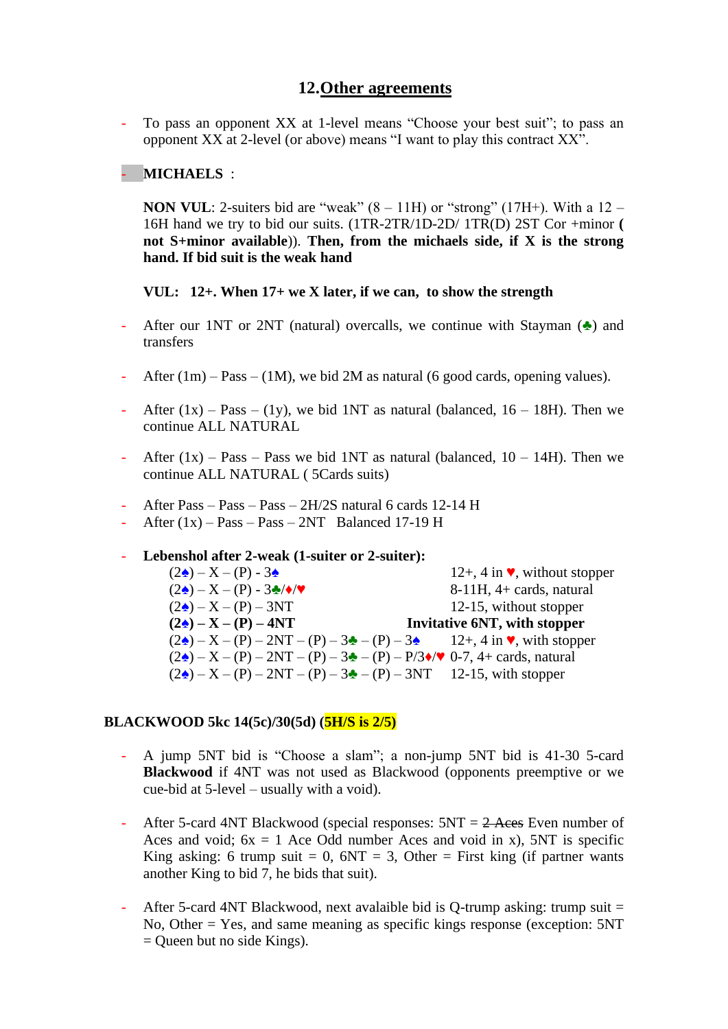### **12.Other agreements**

- To pass an opponent XX at 1-level means "Choose your best suit"; to pass an opponent XX at 2-level (or above) means "I want to play this contract XX".

### - **MICHAELS** :

**NON VUL**: 2-suiters bid are "weak"  $(8 - 11H)$  or "strong"  $(17H+)$ . With a  $12 -$ 16H hand we try to bid our suits. (1TR-2TR/1D-2D/ 1TR(D) 2ST Cor +minor **( not S+minor available**)). **Then, from the michaels side, if X is the strong hand. If bid suit is the weak hand**

#### **VUL: 12+. When 17+ we X later, if we can, to show the strength**

- After our 1NT or 2NT (natural) overcalls, we continue with Stayman  $(\triangle)$  and transfers
- After  $(1m)$  Pass  $(1M)$ , we bid 2M as natural (6 good cards, opening values).
- After  $(1x)$  Pass  $(1y)$ , we bid 1NT as natural (balanced,  $16 18$ H). Then we continue ALL NATURAL
- After  $(1x)$  Pass Pass we bid 1NT as natural (balanced,  $10 14$ H). Then we continue ALL NATURAL ( 5Cards suits)
- After Pass Pass Pass 2H/2S natural 6 cards 12-14 H
- After  $(1x)$  Pass Pass  $2NT$  Balanced 17-19 H

#### - **Lebenshol after 2-weak (1-suiter or 2-suiter):**

| $(2\triangle) - X - (P) - 3\triangle$                                                                 | 12+, 4 in $\blacktriangledown$ , without stopper |
|-------------------------------------------------------------------------------------------------------|--------------------------------------------------|
| $(2\triangle) - X - (P) - 3\triangle/\diamond/\diamond$                                               | $8-11H$ , $4+$ cards, natural                    |
| $(2\triangle) - X - (P) - 3NT$                                                                        | 12-15, without stopper                           |
| $(2\triangle) - X - (P) - 4NT$                                                                        | Invitative 6NT, with stopper                     |
| $(2\triangle) - X - (P) - 2NT - (P) - 3\triangle$ - (P) - 3. 12+, 4 in $\triangledown$ , with stopper |                                                  |
| $(2\triangle) - X - (P) - 2NT - (P) - 3\triangle - (P) - P/3\diamond / \vee 0-7$ , 4+ cards, natural  |                                                  |
| $(2\spadesuit) - X - (P) - 2NT - (P) - 3\spadesuit - (P) - 3NT$ 12-15, with stopper                   |                                                  |

#### **BLACKWOOD 5kc 14(5c)/30(5d) (5H/S is 2/5)**

- A jump 5NT bid is "Choose a slam"; a non-jump 5NT bid is 41-30 5-card **Blackwood** if 4NT was not used as Blackwood (opponents preemptive or we cue-bid at 5-level – usually with a void).
- After 5-card 4NT Blackwood (special responses:  $5NT = 2$  Aces Even number of Aces and void;  $6x = 1$  Ace Odd number Aces and void in x), 5NT is specific King asking: 6 trump suit = 0,  $6NT = 3$ , Other = First king (if partner wants another King to bid 7, he bids that suit).
- After 5-card 4NT Blackwood, next avalaible bid is Q-trump asking: trump suit  $=$ No, Other = Yes, and same meaning as specific kings response (exception: 5NT = Queen but no side Kings).